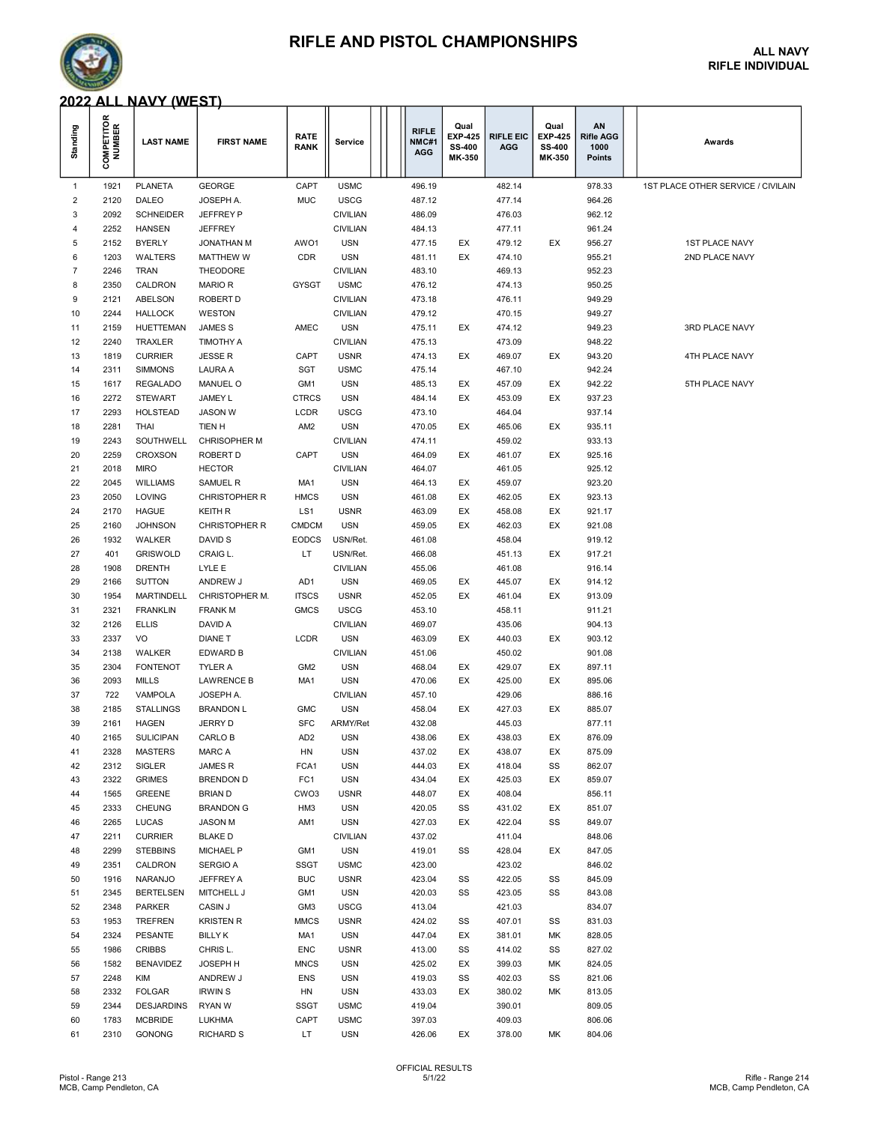## RIFLE AND PISTOL CHAMPIONSHIPS ALL NAVY



# RIFLE INDIVIDUAL

#### 2022 ALL NAVY (WEST)

| Standing     | <b>COMPETITOR</b><br>NUMBER | <b>LAST NAME</b>                  | <b>FIRST NAME</b>       | <b>RATE</b><br><b>RANK</b> | Service                  | <b>RIFLE</b><br>NMC#1<br><b>AGG</b> | Qual<br><b>EXP-425</b><br>SS-400<br>MK-350 | <b>RIFLE EIC</b><br><b>AGG</b> | Qual<br><b>EXP-425</b><br>SS-400<br>MK-350 | ΑN<br><b>Rifle AGG</b><br>1000<br>Points | Awards                             |
|--------------|-----------------------------|-----------------------------------|-------------------------|----------------------------|--------------------------|-------------------------------------|--------------------------------------------|--------------------------------|--------------------------------------------|------------------------------------------|------------------------------------|
| $\mathbf{1}$ | 1921                        | <b>PLANETA</b>                    | <b>GEORGE</b>           | CAPT                       | <b>USMC</b>              | 496.19                              |                                            | 482.14                         |                                            | 978.33                                   | 1ST PLACE OTHER SERVICE / CIVILAIN |
| 2            | 2120                        | DALEO                             | JOSEPH A.               | <b>MUC</b>                 | <b>USCG</b>              | 487.12                              |                                            | 477.14                         |                                            | 964.26                                   |                                    |
| 3            | 2092                        | <b>SCHNEIDER</b>                  | JEFFREY P               |                            | <b>CIVILIAN</b>          | 486.09                              |                                            | 476.03                         |                                            | 962.12                                   |                                    |
| 4            | 2252                        | <b>HANSEN</b>                     | <b>JEFFREY</b>          |                            | <b>CIVILIAN</b>          | 484.13                              |                                            | 477.11                         |                                            | 961.24                                   |                                    |
| 5            | 2152                        | <b>BYERLY</b>                     | <b>JONATHAN M</b>       | AWO1                       | <b>USN</b>               | 477.15                              | EX                                         | 479.12                         | EX                                         | 956.27                                   | <b>1ST PLACE NAVY</b>              |
| 6            | 1203                        | WALTERS                           | <b>MATTHEW W</b>        | <b>CDR</b>                 | <b>USN</b>               | 481.11                              | EX                                         | 474.10                         |                                            | 955.21                                   | 2ND PLACE NAVY                     |
| 7            | 2246                        | <b>TRAN</b>                       | THEODORE                |                            | <b>CIVILIAN</b>          | 483.10                              |                                            | 469.13                         |                                            | 952.23                                   |                                    |
| 8            | 2350                        | CALDRON                           | <b>MARIOR</b>           | <b>GYSGT</b>               | <b>USMC</b>              | 476.12                              |                                            | 474.13                         |                                            | 950.25                                   |                                    |
| 9            | 2121                        | ABELSON                           | ROBERT D                |                            | <b>CIVILIAN</b>          | 473.18                              |                                            | 476.11                         |                                            | 949.29                                   |                                    |
| 10           | 2244                        | <b>HALLOCK</b>                    | WESTON                  |                            | <b>CIVILIAN</b>          | 479.12                              |                                            | 470.15                         |                                            | 949.27                                   |                                    |
| 11           | 2159                        | <b>HUETTEMAN</b>                  | <b>JAMES S</b>          | AMEC                       | <b>USN</b>               | 475.11                              | EX                                         | 474.12                         |                                            | 949.23                                   | 3RD PLACE NAVY                     |
| 12           | 2240                        | TRAXLER                           | <b>TIMOTHY A</b>        |                            | <b>CIVILIAN</b>          | 475.13                              |                                            | 473.09                         |                                            | 948.22                                   |                                    |
| 13           | 1819                        | <b>CURRIER</b>                    | <b>JESSE R</b>          | CAPT                       | <b>USNR</b>              | 474.13                              | EX                                         | 469.07                         | EX                                         | 943.20                                   | 4TH PLACE NAVY                     |
| 14           | 2311                        | <b>SIMMONS</b>                    | LAURA A                 | <b>SGT</b>                 | <b>USMC</b>              | 475.14                              |                                            | 467.10                         |                                            | 942.24                                   |                                    |
| 15<br>16     | 1617<br>2272                | <b>REGALADO</b><br><b>STEWART</b> | MANUEL O<br>JAMEY L     | GM1<br><b>CTRCS</b>        | <b>USN</b><br><b>USN</b> | 485.13<br>484.14                    | EX<br>EX                                   | 457.09<br>453.09               | EX<br>EX                                   | 942.22<br>937.23                         | 5TH PLACE NAVY                     |
| 17           | 2293                        | <b>HOLSTEAD</b>                   | <b>JASON W</b>          | LCDR                       | <b>USCG</b>              | 473.10                              |                                            | 464.04                         |                                            | 937.14                                   |                                    |
| 18           | 2281                        | THAI                              | TIEN H                  | AM <sub>2</sub>            | <b>USN</b>               | 470.05                              | EX                                         | 465.06                         | EX                                         | 935.11                                   |                                    |
| 19           | 2243                        | SOUTHWELL                         | <b>CHRISOPHER M</b>     |                            | <b>CIVILIAN</b>          | 474.11                              |                                            | 459.02                         |                                            | 933.13                                   |                                    |
| 20           | 2259                        | <b>CROXSON</b>                    | ROBERT D                | CAPT                       | <b>USN</b>               | 464.09                              | EX                                         | 461.07                         | EX                                         | 925.16                                   |                                    |
| 21           | 2018                        | <b>MIRO</b>                       | <b>HECTOR</b>           |                            | <b>CIVILIAN</b>          | 464.07                              |                                            | 461.05                         |                                            | 925.12                                   |                                    |
| 22           | 2045                        | <b>WILLIAMS</b>                   | SAMUEL R                | MA1                        | <b>USN</b>               | 464.13                              | EX                                         | 459.07                         |                                            | 923.20                                   |                                    |
| 23           | 2050                        | LOVING                            | <b>CHRISTOPHER R</b>    | <b>HMCS</b>                | <b>USN</b>               | 461.08                              | EX                                         | 462.05                         | EX                                         | 923.13                                   |                                    |
| 24           | 2170                        | <b>HAGUE</b>                      | <b>KEITH R</b>          | LS1                        | <b>USNR</b>              | 463.09                              | EX                                         | 458.08                         | EX                                         | 921.17                                   |                                    |
| 25           | 2160                        | <b>JOHNSON</b>                    | <b>CHRISTOPHER R</b>    | <b>CMDCM</b>               | <b>USN</b>               | 459.05                              | EX                                         | 462.03                         | EX                                         | 921.08                                   |                                    |
| 26           | 1932                        | WALKER                            | DAVID S                 | <b>EODCS</b>               | USN/Ret.                 | 461.08                              |                                            | 458.04                         |                                            | 919.12                                   |                                    |
| 27           | 401                         | <b>GRISWOLD</b>                   | CRAIG L.                | LT                         | USN/Ret.                 | 466.08                              |                                            | 451.13                         | EX                                         | 917.21                                   |                                    |
| 28           | 1908                        | <b>DRENTH</b>                     | LYLE E                  |                            | <b>CIVILIAN</b>          | 455.06                              |                                            | 461.08                         |                                            | 916.14                                   |                                    |
| 29           | 2166                        | <b>SUTTON</b>                     | ANDREW J                | AD1                        | <b>USN</b>               | 469.05                              | EX                                         | 445.07                         | EX                                         | 914.12                                   |                                    |
| 30           | 1954                        | <b>MARTINDELL</b>                 | CHRISTOPHER M.          | <b>ITSCS</b>               | <b>USNR</b>              | 452.05                              | EX                                         | 461.04                         | EX                                         | 913.09                                   |                                    |
| 31           | 2321                        | <b>FRANKLIN</b>                   | <b>FRANK M</b>          | <b>GMCS</b>                | <b>USCG</b>              | 453.10                              |                                            | 458.11                         |                                            | 911.21                                   |                                    |
| 32           | 2126                        | <b>ELLIS</b>                      | DAVID A                 |                            | <b>CIVILIAN</b>          | 469.07                              |                                            | 435.06                         |                                            | 904.13                                   |                                    |
| 33           | 2337                        | VO                                | <b>DIANE T</b>          | LCDR                       | <b>USN</b>               | 463.09                              | EX                                         | 440.03                         | EX                                         | 903.12                                   |                                    |
| 34           | 2138                        | <b>WALKER</b>                     | EDWARD B                |                            | <b>CIVILIAN</b>          | 451.06                              |                                            | 450.02                         |                                            | 901.08                                   |                                    |
| 35           | 2304                        | <b>FONTENOT</b>                   | TYLER A                 | GM <sub>2</sub>            | <b>USN</b>               | 468.04                              | EX                                         | 429.07                         | EX                                         | 897.11                                   |                                    |
| 36           | 2093                        | <b>MILLS</b>                      | <b>LAWRENCE B</b>       | MA1                        | <b>USN</b>               | 470.06                              | EX                                         | 425.00                         | EX                                         | 895.06                                   |                                    |
| 37           | 722                         | VAMPOLA                           | JOSEPH A.               |                            | <b>CIVILIAN</b>          | 457.10                              |                                            | 429.06                         |                                            | 886.16                                   |                                    |
| 38           | 2185                        | <b>STALLINGS</b>                  | <b>BRANDON L</b>        | <b>GMC</b>                 | <b>USN</b>               | 458.04                              | EX                                         | 427.03                         | EX                                         | 885.07                                   |                                    |
| 39           | 2161                        | <b>HAGEN</b>                      | JERRY D                 | <b>SFC</b>                 | ARMY/Ret                 | 432.08                              |                                            | 445.03                         |                                            | 877.11                                   |                                    |
| 40<br>41     | 2165                        | <b>SULICIPAN</b>                  | CARLO B                 | AD <sub>2</sub><br>HN      | <b>USN</b><br><b>USN</b> | 438.06<br>437.02                    | EX<br>EX                                   | 438.03                         | EX<br>EX                                   | 876.09                                   |                                    |
| 42           | 2328<br>2312                | <b>MASTERS</b><br>SIGLER          | MARC A<br><b>JAMESR</b> | FCA1                       | <b>USN</b>               | 444.03                              | EX                                         | 438.07<br>418.04               | SS                                         | 875.09<br>862.07                         |                                    |
| 43           | 2322                        | <b>GRIMES</b>                     | <b>BRENDON D</b>        | FC1                        | <b>USN</b>               | 434.04                              | EX                                         | 425.03                         | EX                                         | 859.07                                   |                                    |
| 44           | 1565                        | <b>GREENE</b>                     | <b>BRIAN D</b>          | CWO <sub>3</sub>           | <b>USNR</b>              | 448.07                              | EX                                         | 408.04                         |                                            | 856.11                                   |                                    |
| 45           | 2333                        | <b>CHEUNG</b>                     | <b>BRANDON G</b>        | HM <sub>3</sub>            | <b>USN</b>               | 420.05                              | SS                                         | 431.02                         | EX                                         | 851.07                                   |                                    |
| 46           | 2265                        | LUCAS                             | <b>JASON M</b>          | AM1                        | <b>USN</b>               | 427.03                              | EX                                         | 422.04                         | SS                                         | 849.07                                   |                                    |
| 47           | 2211                        | <b>CURRIER</b>                    | <b>BLAKE D</b>          |                            | <b>CIVILIAN</b>          | 437.02                              |                                            | 411.04                         |                                            | 848.06                                   |                                    |
| 48           | 2299                        | <b>STEBBINS</b>                   | MICHAEL P               | GM <sub>1</sub>            | <b>USN</b>               | 419.01                              | SS                                         | 428.04                         | EX                                         | 847.05                                   |                                    |
| 49           | 2351                        | CALDRON                           | <b>SERGIO A</b>         | <b>SSGT</b>                | <b>USMC</b>              | 423.00                              |                                            | 423.02                         |                                            | 846.02                                   |                                    |
| 50           | 1916                        | NARANJO                           | JEFFREY A               | <b>BUC</b>                 | <b>USNR</b>              | 423.04                              | SS                                         | 422.05                         | SS                                         | 845.09                                   |                                    |
| 51           | 2345                        | <b>BERTELSEN</b>                  | MITCHELL J              | GM1                        | <b>USN</b>               | 420.03                              | SS                                         | 423.05                         | SS                                         | 843.08                                   |                                    |
| 52           | 2348                        | <b>PARKER</b>                     | CASIN J                 | GM <sub>3</sub>            | <b>USCG</b>              | 413.04                              |                                            | 421.03                         |                                            | 834.07                                   |                                    |
| 53           | 1953                        | <b>TREFREN</b>                    | <b>KRISTEN R</b>        | <b>MMCS</b>                | <b>USNR</b>              | 424.02                              | SS                                         | 407.01                         | SS                                         | 831.03                                   |                                    |
| 54           | 2324                        | PESANTE                           | <b>BILLY K</b>          | MA1                        | <b>USN</b>               | 447.04                              | EX                                         | 381.01                         | МK                                         | 828.05                                   |                                    |
| 55           | 1986                        | CRIBBS                            | CHRIS L.                | <b>ENC</b>                 | <b>USNR</b>              | 413.00                              | SS                                         | 414.02                         | SS                                         | 827.02                                   |                                    |
| 56           | 1582                        | <b>BENAVIDEZ</b>                  | JOSEPH H                | <b>MNCS</b>                | <b>USN</b>               | 425.02                              | EX                                         | 399.03                         | МK                                         | 824.05                                   |                                    |
| 57           | 2248                        | KIM                               | ANDREW J                | <b>ENS</b>                 | <b>USN</b>               | 419.03                              | SS                                         | 402.03                         | SS                                         | 821.06                                   |                                    |
| 58           | 2332                        | <b>FOLGAR</b>                     | <b>IRWINS</b>           | HN                         | <b>USN</b>               | 433.03                              | EX                                         | 380.02                         | МK                                         | 813.05                                   |                                    |
| 59           | 2344                        | <b>DESJARDINS</b>                 | RYAN W                  | <b>SSGT</b>                | <b>USMC</b>              | 419.04                              |                                            | 390.01                         |                                            | 809.05                                   |                                    |
| 60           | 1783                        | <b>MCBRIDE</b>                    | LUKHMA                  | CAPT                       | <b>USMC</b>              | 397.03                              |                                            | 409.03                         |                                            | 806.06                                   |                                    |
| 61           | 2310                        | <b>GONONG</b>                     | <b>RICHARD S</b>        | LT.                        | <b>USN</b>               | 426.06                              | EX                                         | 378.00                         | МK                                         | 804.06                                   |                                    |